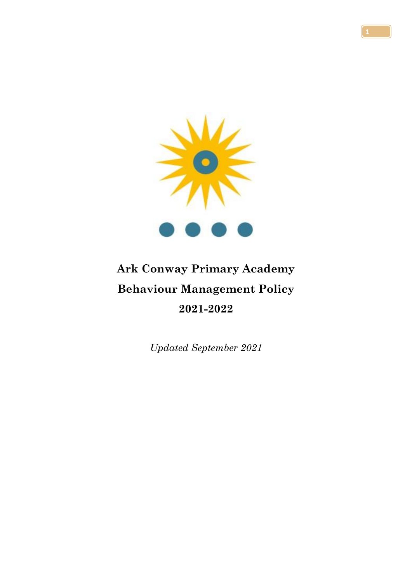

# **Ark Conway Primary Academy Behaviour Management Policy 2021-2022**

*Updated September 2021*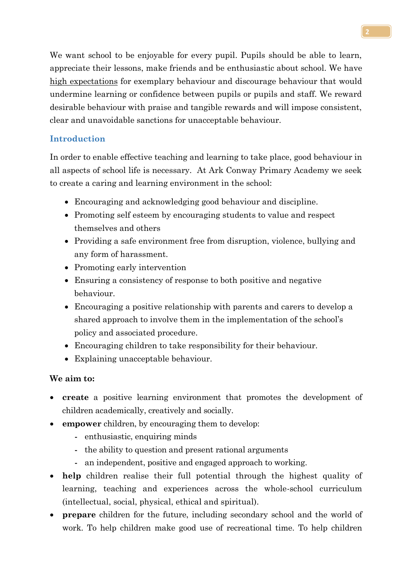We want school to be enjoyable for every pupil. Pupils should be able to learn, appreciate their lessons, make friends and be enthusiastic about school. We have high expectations for exemplary behaviour and discourage behaviour that would undermine learning or confidence between pupils or pupils and staff. We reward desirable behaviour with praise and tangible rewards and will impose consistent, clear and unavoidable sanctions for unacceptable behaviour.

# **Introduction**

In order to enable effective teaching and learning to take place, good behaviour in all aspects of school life is necessary. At Ark Conway Primary Academy we seek to create a caring and learning environment in the school:

- Encouraging and acknowledging good behaviour and discipline.
- Promoting self esteem by encouraging students to value and respect themselves and others
- Providing a safe environment free from disruption, violence, bullying and any form of harassment.
- Promoting early intervention
- Ensuring a consistency of response to both positive and negative behaviour.
- Encouraging a positive relationship with parents and carers to develop a shared approach to involve them in the implementation of the school's policy and associated procedure.
- Encouraging children to take responsibility for their behaviour.
- Explaining unacceptable behaviour.

## **We aim to:**

- **create** a positive learning environment that promotes the development of children academically, creatively and socially.
- **empower** children, by encouraging them to develop:
	- enthusiastic, enquiring minds
	- the ability to question and present rational arguments
	- an independent, positive and engaged approach to working.
- **help** children realise their full potential through the highest quality of learning, teaching and experiences across the whole-school curriculum (intellectual, social, physical, ethical and spiritual).
- **prepare** children for the future, including secondary school and the world of work. To help children make good use of recreational time. To help children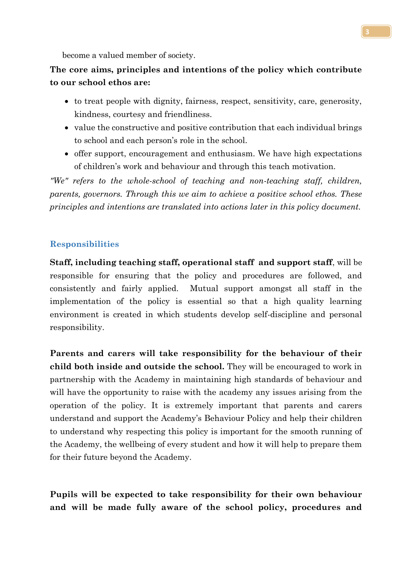become a valued member of society.

# **The core aims, principles and intentions of the policy which contribute to our school ethos are:**

- to treat people with dignity, fairness, respect, sensitivity, care, generosity, kindness, courtesy and friendliness.
- value the constructive and positive contribution that each individual brings to school and each person's role in the school.
- offer support, encouragement and enthusiasm. We have high expectations of children's work and behaviour and through this teach motivation.

*"We" refers to the whole-school of teaching and non-teaching staff, children, parents, governors. Through this we aim to achieve a positive school ethos. These principles and intentions are translated into actions later in this policy document.*

#### **Responsibilities**

**Staff, including teaching staff, operational staff and support staff**, will be responsible for ensuring that the policy and procedures are followed, and consistently and fairly applied. Mutual support amongst all staff in the implementation of the policy is essential so that a high quality learning environment is created in which students develop self-discipline and personal responsibility.

**Parents and carers will take responsibility for the behaviour of their child both inside and outside the school.** They will be encouraged to work in partnership with the Academy in maintaining high standards of behaviour and will have the opportunity to raise with the academy any issues arising from the operation of the policy. It is extremely important that parents and carers understand and support the Academy's Behaviour Policy and help their children to understand why respecting this policy is important for the smooth running of the Academy, the wellbeing of every student and how it will help to prepare them for their future beyond the Academy.

**Pupils will be expected to take responsibility for their own behaviour and will be made fully aware of the school policy, procedures and**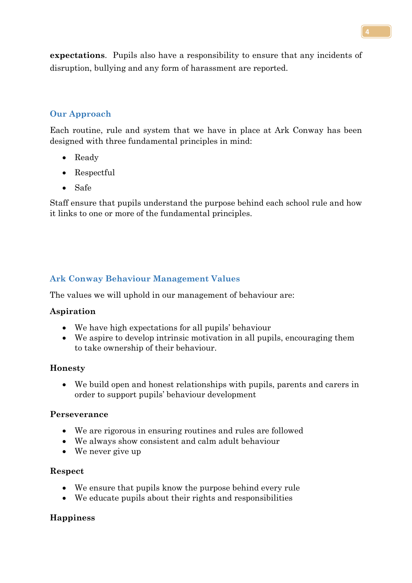**expectations**. Pupils also have a responsibility to ensure that any incidents of disruption, bullying and any form of harassment are reported.

## **Our Approach**

Each routine, rule and system that we have in place at Ark Conway has been designed with three fundamental principles in mind:

- Ready
- Respectful
- Safe

Staff ensure that pupils understand the purpose behind each school rule and how it links to one or more of the fundamental principles.

# **Ark Conway Behaviour Management Values**

The values we will uphold in our management of behaviour are:

## **Aspiration**

- We have high expectations for all pupils' behaviour
- We aspire to develop intrinsic motivation in all pupils, encouraging them to take ownership of their behaviour.

## **Honesty**

• We build open and honest relationships with pupils, parents and carers in order to support pupils' behaviour development

## **Perseverance**

- We are rigorous in ensuring routines and rules are followed
- We always show consistent and calm adult behaviour
- We never give up

## **Respect**

- We ensure that pupils know the purpose behind every rule
- We educate pupils about their rights and responsibilities

## **Happiness**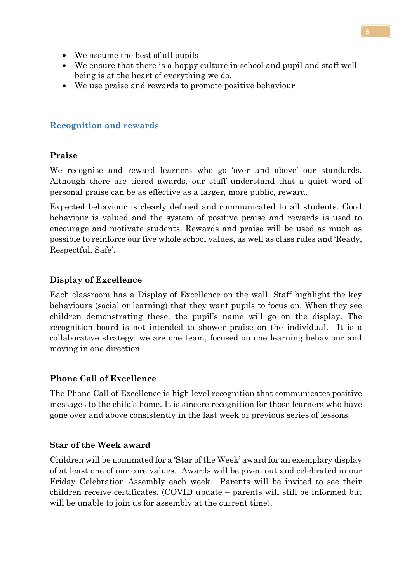- We assume the best of all pupils
- We ensure that there is a happy culture in school and pupil and staff wellbeing is at the heart of everything we do.
- We use praise and rewards to promote positive behaviour

## **Recognition and rewards**

## **Praise**

We recognise and reward learners who go 'over and above' our standards. Although there are tiered awards, our staff understand that a quiet word of personal praise can be as effective as a larger, more public, reward.

Expected behaviour is clearly defined and communicated to all students. Good behaviour is valued and the system of positive praise and rewards is used to encourage and motivate students. Rewards and praise will be used as much as possible to reinforce our five whole school values, as well as class rules and 'Ready, Respectful, Safe'.

## **Display of Excellence**

Each classroom has a Display of Excellence on the wall. Staff highlight the key behaviours (social or learning) that they want pupils to focus on. When they see children demonstrating these, the pupil's name will go on the display. The recognition board is not intended to shower praise on the individual. It is a collaborative strategy: we are one team, focused on one learning behaviour and moving in one direction.

## **Phone Call of Excellence**

The Phone Call of Excellence is high level recognition that communicates positive messages to the child's home. It is sincere recognition for those learners who have gone over and above consistently in the last week or previous series of lessons.

## **Star of the Week award**

Children will be nominated for a 'Star of the Week' award for an exemplary display of at least one of our core values. Awards will be given out and celebrated in our Friday Celebration Assembly each week. Parents will be invited to see their children receive certificates. (COVID update – parents will still be informed but will be unable to join us for assembly at the current time).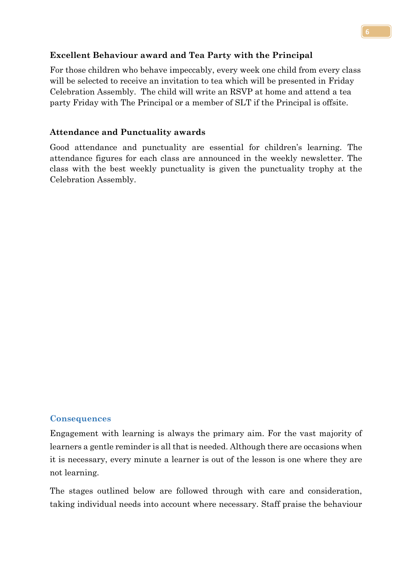## **Excellent Behaviour award and Tea Party with the Principal**

For those children who behave impeccably, every week one child from every class will be selected to receive an invitation to tea which will be presented in Friday Celebration Assembly. The child will write an RSVP at home and attend a tea party Friday with The Principal or a member of SLT if the Principal is offsite.

## **Attendance and Punctuality awards**

Good attendance and punctuality are essential for children's learning. The attendance figures for each class are announced in the weekly newsletter. The class with the best weekly punctuality is given the punctuality trophy at the Celebration Assembly.

## **Consequences**

Engagement with learning is always the primary aim. For the vast majority of learners a gentle reminder is all that is needed. Although there are occasions when it is necessary, every minute a learner is out of the lesson is one where they are not learning.

The stages outlined below are followed through with care and consideration, taking individual needs into account where necessary. Staff praise the behaviour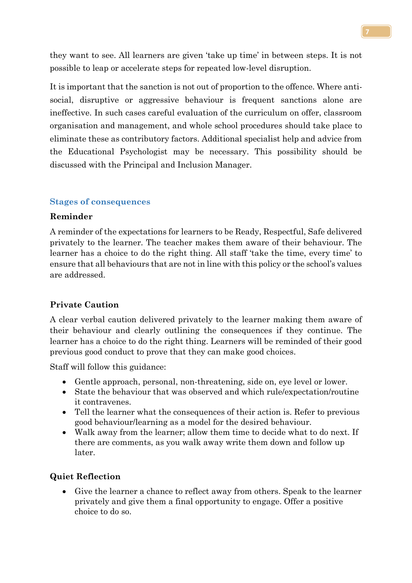they want to see. All learners are given 'take up time' in between steps. It is not possible to leap or accelerate steps for repeated low-level disruption.

It is important that the sanction is not out of proportion to the offence. Where antisocial, disruptive or aggressive behaviour is frequent sanctions alone are ineffective. In such cases careful evaluation of the curriculum on offer, classroom organisation and management, and whole school procedures should take place to eliminate these as contributory factors. Additional specialist help and advice from the Educational Psychologist may be necessary. This possibility should be discussed with the Principal and Inclusion Manager.

## **Stages of consequences**

#### **Reminder**

A reminder of the expectations for learners to be Ready, Respectful, Safe delivered privately to the learner. The teacher makes them aware of their behaviour. The learner has a choice to do the right thing. All staff 'take the time, every time' to ensure that all behaviours that are not in line with this policy or the school's values are addressed.

## **Private Caution**

A clear verbal caution delivered privately to the learner making them aware of their behaviour and clearly outlining the consequences if they continue. The learner has a choice to do the right thing. Learners will be reminded of their good previous good conduct to prove that they can make good choices.

Staff will follow this guidance:

- Gentle approach, personal, non-threatening, side on, eye level or lower.
- State the behaviour that was observed and which rule/expectation/routine it contravenes.
- Tell the learner what the consequences of their action is. Refer to previous good behaviour/learning as a model for the desired behaviour.
- Walk away from the learner; allow them time to decide what to do next. If there are comments, as you walk away write them down and follow up later.

## **Quiet Reflection**

Give the learner a chance to reflect away from others. Speak to the learner privately and give them a final opportunity to engage. Offer a positive choice to do so.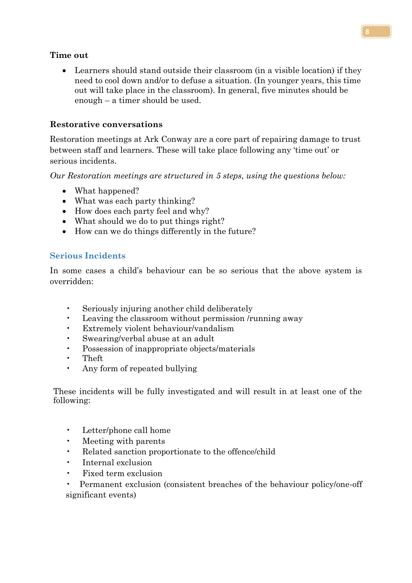## **Time out**

• Learners should stand outside their classroom (in a visible location) if they need to cool down and/or to defuse a situation. (In younger years, this time out will take place in the classroom). In general, five minutes should be enough – a timer should be used.

## **Restorative conversations**

Restoration meetings at Ark Conway are a core part of repairing damage to trust between staff and learners. These will take place following any 'time out' or serious incidents.

*Our Restoration meetings are structured in 5 steps, using the questions below:*

- What happened?
- What was each party thinking?
- How does each party feel and why?
- What should we do to put things right?
- How can we do things differently in the future?

## **Serious Incidents**

In some cases a child's behaviour can be so serious that the above system is overridden:

- Seriously injuring another child deliberately
- Leaving the classroom without permission /running away
- Extremely violent behaviour/vandalism
- Swearing/verbal abuse at an adult
- Possession of inappropriate objects/materials
- Theft
- Any form of repeated bullying

These incidents will be fully investigated and will result in at least one of the following:

- Letter/phone call home
- Meeting with parents
- Related sanction proportionate to the offence/child
- Internal exclusion
- Fixed term exclusion
- Permanent exclusion (consistent breaches of the behaviour policy/one-off significant events)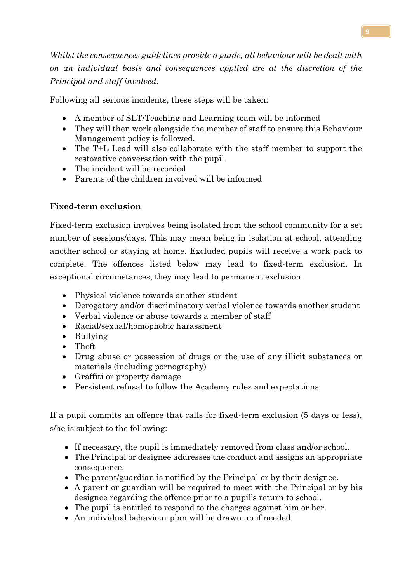*Whilst the consequences guidelines provide a guide, all behaviour will be dealt with on an individual basis and consequences applied are at the discretion of the Principal and staff involved.*

Following all serious incidents, these steps will be taken:

- A member of SLT/Teaching and Learning team will be informed
- They will then work alongside the member of staff to ensure this Behaviour Management policy is followed.
- The T+L Lead will also collaborate with the staff member to support the restorative conversation with the pupil.
- The incident will be recorded
- Parents of the children involved will be informed

# **Fixed-term exclusion**

Fixed-term exclusion involves being isolated from the school community for a set number of sessions/days. This may mean being in isolation at school, attending another school or staying at home. Excluded pupils will receive a work pack to complete. The offences listed below may lead to fixed-term exclusion. In exceptional circumstances, they may lead to permanent exclusion.

- Physical violence towards another student
- Derogatory and/or discriminatory verbal violence towards another student
- Verbal violence or abuse towards a member of staff
- Racial/sexual/homophobic harassment
- Bullying
- Theft
- Drug abuse or possession of drugs or the use of any illicit substances or materials (including pornography)
- Graffiti or property damage
- Persistent refusal to follow the Academy rules and expectations

If a pupil commits an offence that calls for fixed-term exclusion (5 days or less), s/he is subject to the following:

- If necessary, the pupil is immediately removed from class and/or school.
- The Principal or designee addresses the conduct and assigns an appropriate consequence.
- The parent/guardian is notified by the Principal or by their designee.
- A parent or guardian will be required to meet with the Principal or by his designee regarding the offence prior to a pupil's return to school.
- The pupil is entitled to respond to the charges against him or her.
- An individual behaviour plan will be drawn up if needed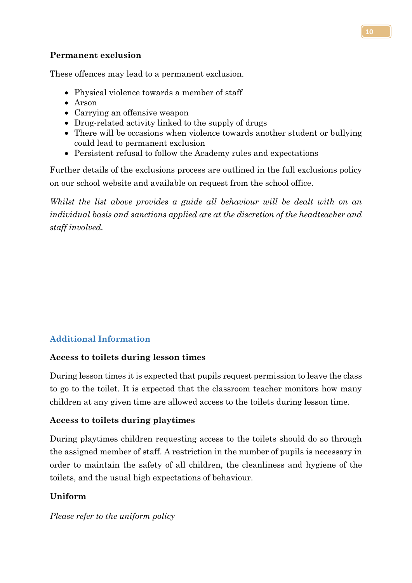## **Permanent exclusion**

These offences may lead to a permanent exclusion.

- Physical violence towards a member of staff
- Arson
- Carrying an offensive weapon
- Drug-related activity linked to the supply of drugs
- There will be occasions when violence towards another student or bullying could lead to permanent exclusion
- Persistent refusal to follow the Academy rules and expectations

Further details of the exclusions process are outlined in the full exclusions policy on our school website and available on request from the school office.

*Whilst the list above provides a guide all behaviour will be dealt with on an individual basis and sanctions applied are at the discretion of the headteacher and staff involved.*

# **Additional Information**

## **Access to toilets during lesson times**

During lesson times it is expected that pupils request permission to leave the class to go to the toilet. It is expected that the classroom teacher monitors how many children at any given time are allowed access to the toilets during lesson time.

## **Access to toilets during playtimes**

During playtimes children requesting access to the toilets should do so through the assigned member of staff. A restriction in the number of pupils is necessary in order to maintain the safety of all children, the cleanliness and hygiene of the toilets, and the usual high expectations of behaviour.

## **Uniform**

*Please refer to the uniform policy*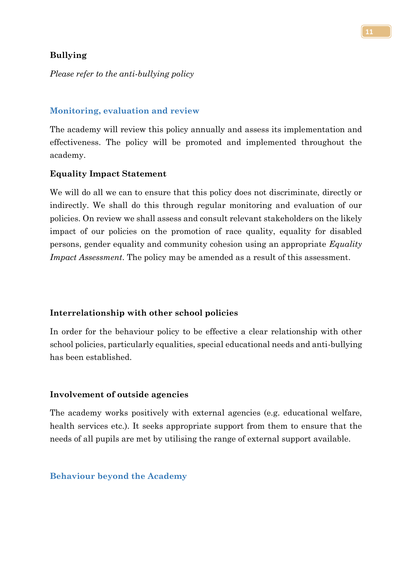## **Bullying**

*Please refer to the anti-bullying policy*

#### **Monitoring, evaluation and review**

The academy will review this policy annually and assess its implementation and effectiveness. The policy will be promoted and implemented throughout the academy.

#### **Equality Impact Statement**

We will do all we can to ensure that this policy does not discriminate, directly or indirectly. We shall do this through regular monitoring and evaluation of our policies. On review we shall assess and consult relevant stakeholders on the likely impact of our policies on the promotion of race quality, equality for disabled persons, gender equality and community cohesion using an appropriate *Equality Impact Assessment*. The policy may be amended as a result of this assessment.

#### **Interrelationship with other school policies**

In order for the behaviour policy to be effective a clear relationship with other school policies, particularly equalities, special educational needs and anti-bullying has been established.

#### **Involvement of outside agencies**

The academy works positively with external agencies (e.g. educational welfare, health services etc.). It seeks appropriate support from them to ensure that the needs of all pupils are met by utilising the range of external support available.

#### **Behaviour beyond the Academy**